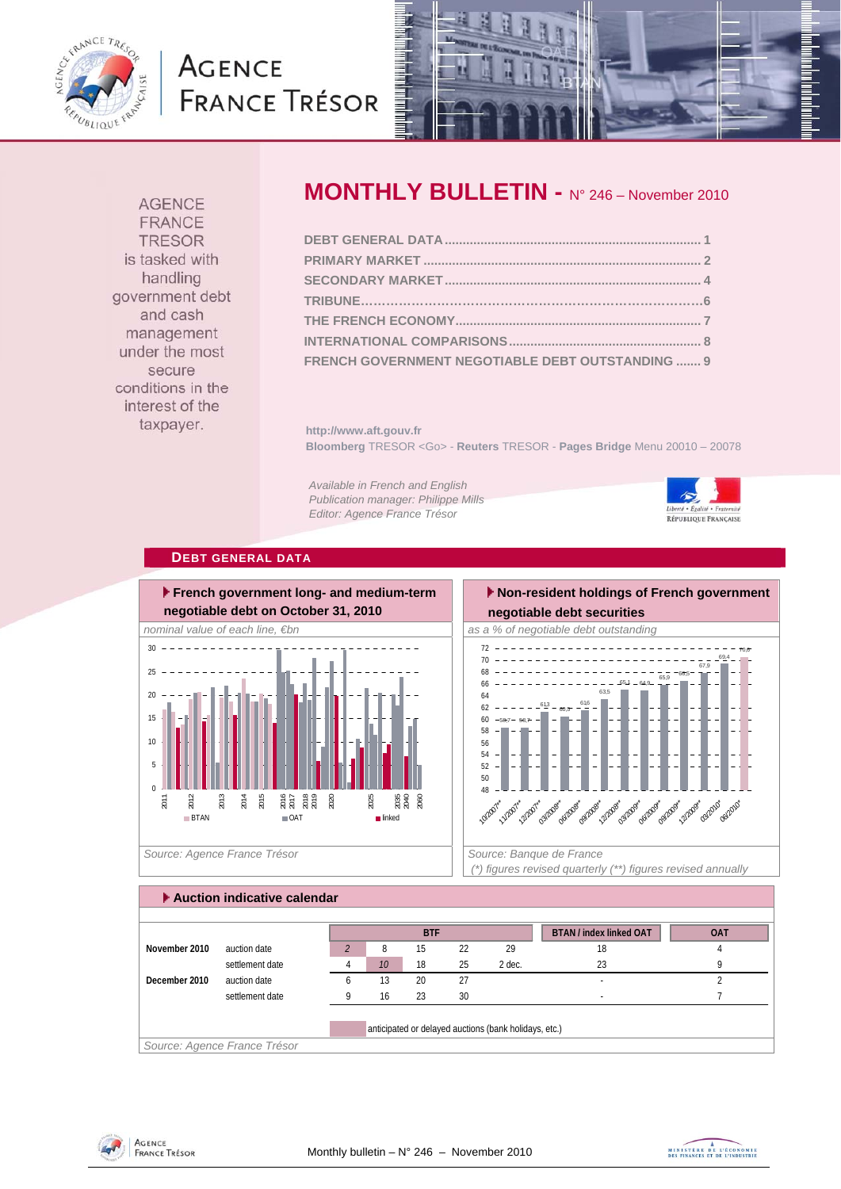

# **AGENCE FRANCE TRÉSOR**



**AGENCE FRANCE TRESOR** is tasked with handling government debt and cash management under the most secure conditions in the interest of the taxpayer.

## **MONTHLY BULLETIN -** N° 246 – November 2010

**http://www.aft.gouv.fr Bloomberg** TRESOR <Go> - **Reuters** TRESOR - **Pages Bridge** Menu 20010 – 20078

*Available in French and English Publication manager: Philippe Mills Editor: Agence France Trésor* 



**DEBT GENERAL DATA**



Source: Agence France Trésor **Source: Banque de France**  $\vert$  Source: Banque de France

#### **Non-resident holdings of French government negotiable debt securities**   $-58,7 - 58,7$  $\frac{613}{5} - 60,5$ 61,6 63,5  $65,1 - 64,9$  $\frac{1}{65,9}$  -66,5 67,9 69,4 70,6 56 58 60 62 64 66 68 70 72

48 50 52 54 **10/2007** 1/2007\* 12/2007\* 03/2008\* obilcosé opl2008\* \* 12098\* **Obl2009** 09/2009\* 12/2009 03/2010 **1**<sup>0</sup> <sub>00</sub>010

 *(\*) figures revised quarterly (\*\*) figures revised annually* 

| Auction indicative calendar |                              |   |    |            |    |                                                       |                                |            |  |  |  |  |
|-----------------------------|------------------------------|---|----|------------|----|-------------------------------------------------------|--------------------------------|------------|--|--|--|--|
|                             |                              |   |    | <b>BTF</b> |    |                                                       | <b>BTAN / index linked OAT</b> | <b>OAT</b> |  |  |  |  |
| November 2010               | auction date                 |   | 8  | 15         | 22 | 29                                                    | 18                             |            |  |  |  |  |
|                             | settlement date              |   | 10 | 18         | 25 | 2 dec.                                                | 23                             |            |  |  |  |  |
| December 2010               | auction date                 | h | 13 | 20         | 27 |                                                       |                                |            |  |  |  |  |
|                             | settlement date              |   | 16 | 23         | 30 |                                                       |                                |            |  |  |  |  |
|                             |                              |   |    |            |    | anticipated or delayed auctions (bank holidays, etc.) |                                |            |  |  |  |  |
|                             | Source: Agence France Trésor |   |    |            |    |                                                       |                                |            |  |  |  |  |



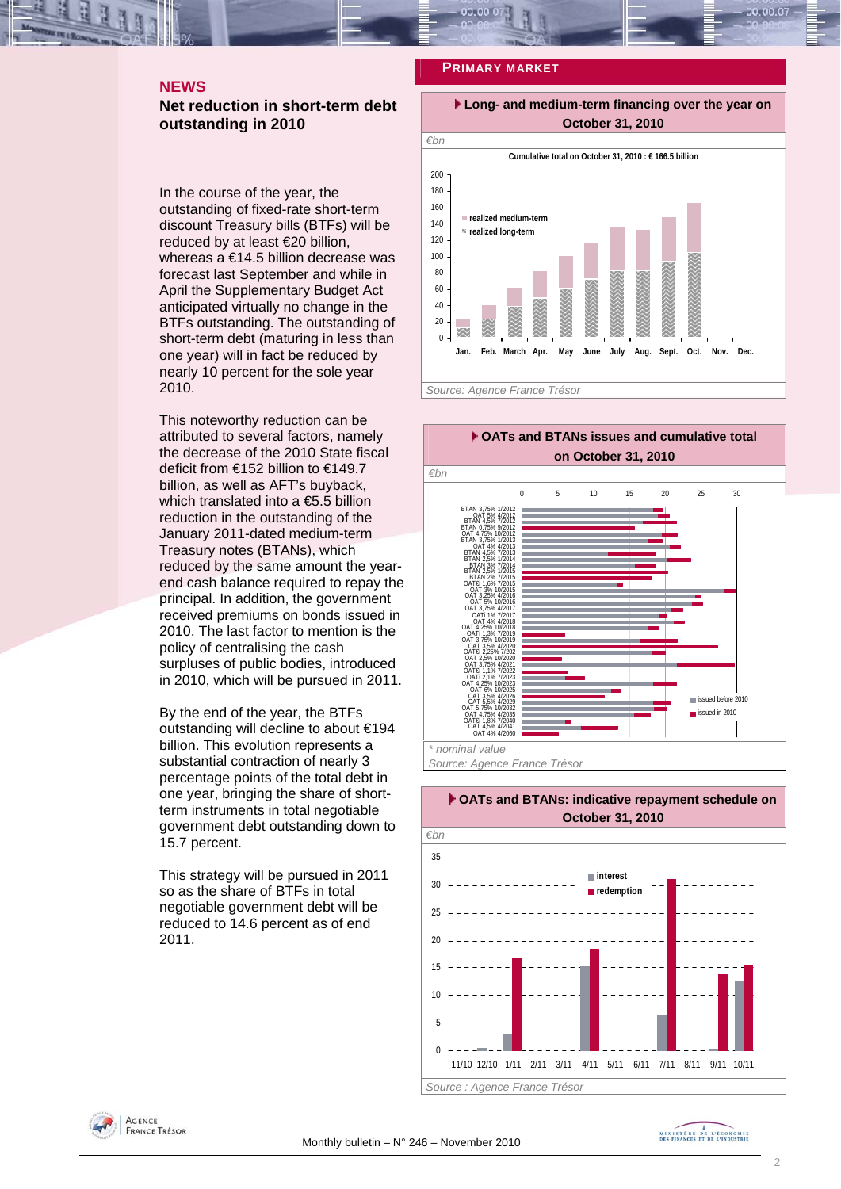#### **NEWS**

#### **Net reduction in short-term debt outstanding in 2010**

In the course of the year, the outstanding of fixed-rate short-term discount Treasury bills (BTFs) will be reduced by at least €20 billion. whereas a €14.5 billion decrease was forecast last September and while in April the Supplementary Budget Act anticipated virtually no change in the BTFs outstanding. The outstanding of short-term debt (maturing in less than one year) will in fact be reduced by nearly 10 percent for the sole year 2010.

This noteworthy reduction can be attributed to several factors, namely the decrease of the 2010 State fiscal deficit from €152 billion to €149.7 billion, as well as AFT's buyback, which translated into a €5.5 billion reduction in the outstanding of the January 2011-dated medium-term Treasury notes (BTANs), which reduced by the same amount the yearend cash balance required to repay the principal. In addition, the government received premiums on bonds issued in 2010. The last factor to mention is the policy of centralising the cash surpluses of public bodies, introduced in 2010, which will be pursued in 2011.

By the end of the year, the BTFs outstanding will decline to about €194 billion. This evolution represents a substantial contraction of nearly 3 percentage points of the total debt in one year, bringing the share of shortterm instruments in total negotiable government debt outstanding down to 15.7 percent.

This strategy will be pursued in 2011 so as the share of BTFs in total negotiable government debt will be reduced to 14.6 percent as of end 2011.

#### **PRIMARY MARKET**



**Jan. Feb. March Apr. May June July Aug. Sept. Oct. Nov. Dec.**

*Source: Agence France Trésor* 







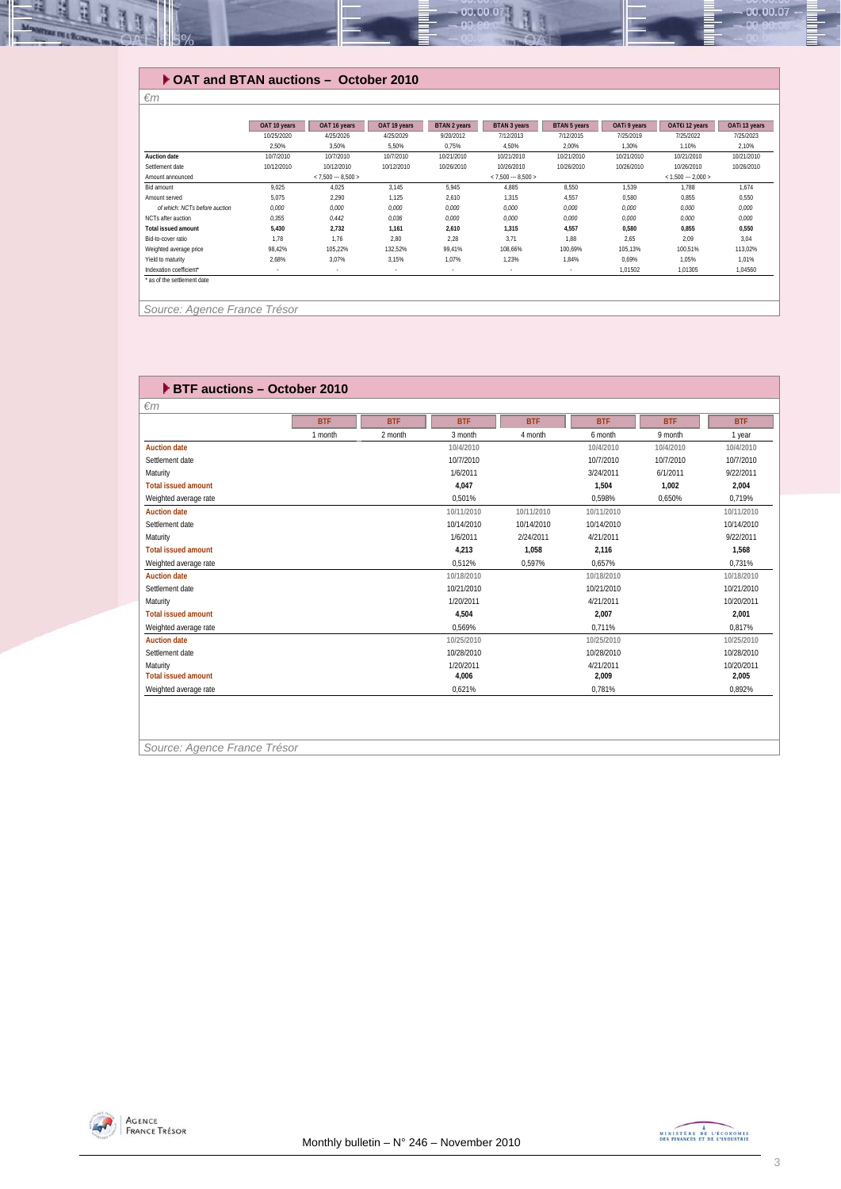

### **OAT and BTAN auctions – October 2010**

|                               | OAT 10 years | OAT 16 years        | OAT 19 years | BTAN 2 years | BTAN 3 years        | BTAN 5 years | OATI 9 years | OAT€i 12 years      | OATi 13 years |
|-------------------------------|--------------|---------------------|--------------|--------------|---------------------|--------------|--------------|---------------------|---------------|
|                               | 10/25/2020   | 4/25/2026           | 4/25/2029    | 9/20/2012    | 7/12/2013           | 7/12/2015    | 7/25/2019    | 7/25/2022           | 7/25/2023     |
|                               | 2.50%        | 3,50%               | 5,50%        | 0,75%        | 4,50%               | 2,00%        | 1,30%        | 1,10%               | 2,10%         |
| <b>Auction date</b>           | 10/7/2010    | 10/7/2010           | 10/7/2010    | 10/21/2010   | 10/21/2010          | 10/21/2010   | 10/21/2010   | 10/21/2010          | 10/21/2010    |
| Settlement date               | 10/12/2010   | 10/12/2010          | 10/12/2010   | 10/26/2010   | 10/26/2010          | 10/26/2010   | 10/26/2010   | 10/26/2010          | 10/26/2010    |
| Amount announced              |              | $< 7.500 - 8.500 >$ |              |              | $< 7,500 - 8,500 >$ |              |              | $< 1,500 - 2,000 >$ |               |
| Bid amount                    | 9.025        | 4.025               | 3,145        | 5.945        | 4.885               | 8,550        | 1,539        | 1.788               | 1.674         |
| Amount served                 | 5.075        | 2.290               | 1,125        | 2,610        | 1,315               | 4,557        | 0,580        | 0,855               | 0,550         |
| of which: NCTs before auction | 0.000        | 0.000               | 0,000        | 0.000        | 0.000               | 0.000        | 0.000        | 0.000               | 0.000         |
| NCTs after auction            | 0,355        | 0.442               | 0,036        | 0,000        | 0,000               | 0,000        | 0,000        | 0,000               | 0,000         |
| <b>Total issued amount</b>    | 5,430        | 2,732               | 1,161        | 2,610        | 1.315               | 4,557        | 0.580        | 0.855               | 0,550         |
| Bid-to-cover ratio            | 1.78         | 1.76                | 2.80         | 2,28         | 3,71                | 1,88         | 2,65         | 2,09                | 3.04          |
| Weighted average price        | 98.42%       | 105.22%             | 132.52%      | 99.41%       | 108.66%             | 100.69%      | 105,13%      | 100,51%             | 113,02%       |
| Yield to maturity             | 2.68%        | 3.07%               | 3,15%        | 1,07%        | 1,23%               | 1,84%        | 0,69%        | 1,05%               | 1,01%         |
| Indexation coefficient*       | $\sim$       | $\sim$              | $\sim$       | $\sim$       | $\sim$              | $\sim$       | 1.01502      | 1.01305             | 1.04560       |
| ' as of the settlement date   |              |                     |              |              |                     |              |              |                     |               |
|                               |              |                     |              |              |                     |              |              |                     |               |
|                               |              |                     |              |              |                     |              |              |                     |               |

*Source: Agence France Trésor* 

*€m* 

| <b>BTF auctions - October 2010</b> |            |            |            |            |            |            |            |  |  |  |  |  |
|------------------------------------|------------|------------|------------|------------|------------|------------|------------|--|--|--|--|--|
| $\epsilon$ m                       |            |            |            |            |            |            |            |  |  |  |  |  |
|                                    | <b>BTF</b> | <b>BTF</b> | <b>BTF</b> | <b>BTF</b> | <b>BTF</b> | <b>BTF</b> | <b>BTF</b> |  |  |  |  |  |
|                                    | 1 month    | 2 month    | 3 month    | 4 month    | 6 month    | 9 month    | 1 year     |  |  |  |  |  |
| <b>Auction date</b>                |            |            | 10/4/2010  |            | 10/4/2010  | 10/4/2010  | 10/4/2010  |  |  |  |  |  |
| Settlement date                    |            |            | 10/7/2010  |            | 10/7/2010  | 10/7/2010  | 10/7/2010  |  |  |  |  |  |
| Maturity                           |            |            | 1/6/2011   |            | 3/24/2011  | 6/1/2011   | 9/22/2011  |  |  |  |  |  |
| <b>Total issued amount</b>         |            |            | 4.047      |            | 1.504      | 1.002      | 2.004      |  |  |  |  |  |
| Weighted average rate              |            |            | 0.501%     |            | 0.598%     | 0.650%     | 0.719%     |  |  |  |  |  |
| <b>Auction date</b>                |            |            | 10/11/2010 | 10/11/2010 | 10/11/2010 |            | 10/11/2010 |  |  |  |  |  |
| Settlement date                    |            |            | 10/14/2010 | 10/14/2010 | 10/14/2010 |            | 10/14/2010 |  |  |  |  |  |
| Maturity                           |            |            | 1/6/2011   | 2/24/2011  | 4/21/2011  |            | 9/22/2011  |  |  |  |  |  |
| <b>Total issued amount</b>         |            |            | 4,213      | 1,058      | 2,116      |            | 1,568      |  |  |  |  |  |
| Weighted average rate              |            |            | 0.512%     | 0.597%     | 0.657%     |            | 0.731%     |  |  |  |  |  |
| <b>Auction date</b>                |            |            | 10/18/2010 |            | 10/18/2010 |            | 10/18/2010 |  |  |  |  |  |
| Settlement date                    |            |            | 10/21/2010 |            | 10/21/2010 |            | 10/21/2010 |  |  |  |  |  |
| Maturity                           |            |            | 1/20/2011  |            | 4/21/2011  |            | 10/20/2011 |  |  |  |  |  |
| <b>Total issued amount</b>         |            |            | 4.504      |            | 2.007      |            | 2.001      |  |  |  |  |  |
| Weighted average rate              |            |            | 0.569%     |            | 0.711%     |            | 0.817%     |  |  |  |  |  |
| <b>Auction date</b>                |            |            | 10/25/2010 |            | 10/25/2010 |            | 10/25/2010 |  |  |  |  |  |
| Settlement date                    |            |            | 10/28/2010 |            | 10/28/2010 |            | 10/28/2010 |  |  |  |  |  |
| Maturity                           |            |            | 1/20/2011  |            | 4/21/2011  |            | 10/20/2011 |  |  |  |  |  |
| <b>Total issued amount</b>         |            |            | 4.006      |            | 2,009      |            | 2,005      |  |  |  |  |  |
| Weighted average rate              |            |            | 0,621%     |            | 0.781%     |            | 0,892%     |  |  |  |  |  |
|                                    |            |            |            |            |            |            |            |  |  |  |  |  |

*Source: Agence France Trésor* 



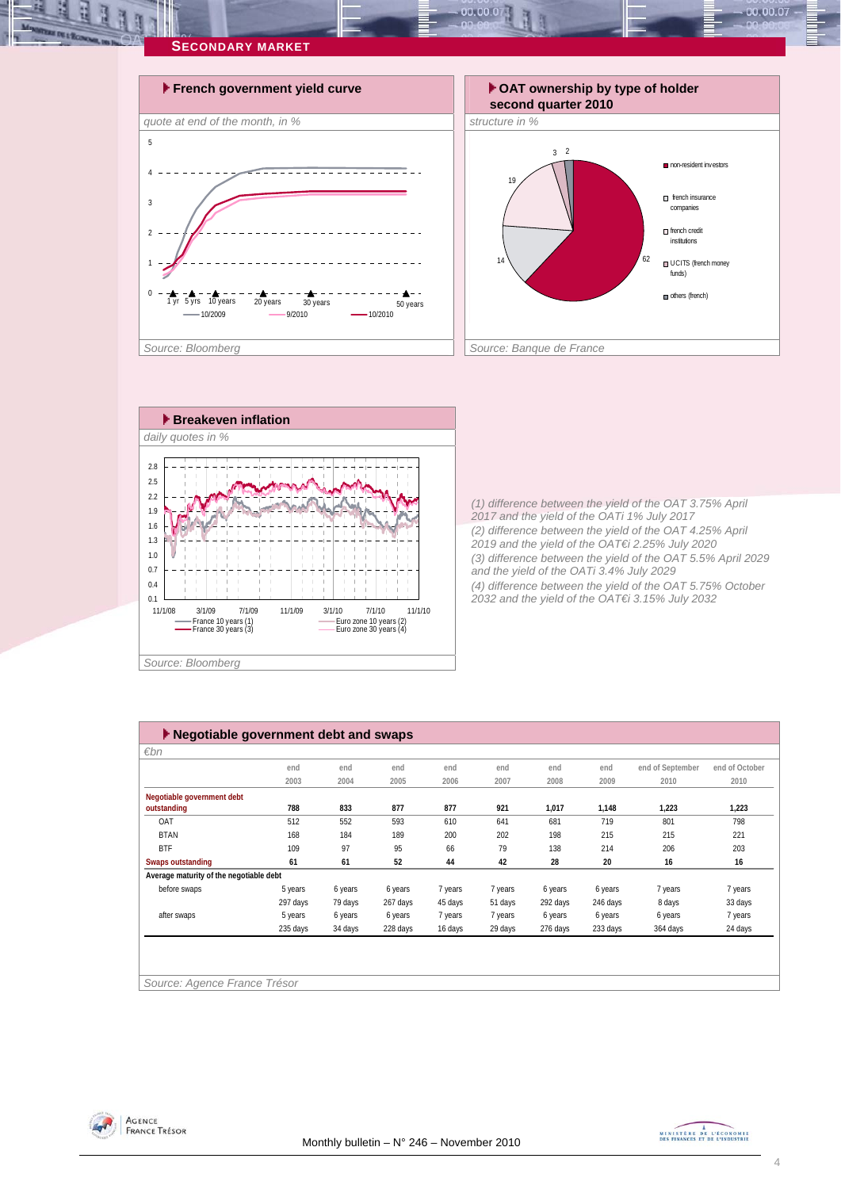

 $00.00.0$ 



*(1) difference between the yield of the OAT 3.75% April 2017 and the yield of the OATi 1% July 2017 (2) difference between the yield of the OAT 4.25% April 2019 and the yield of the OAT€i 2.25% July 2020 (3) difference between the yield of the OAT 5.5% April 2029 and the yield of the OATi 3.4% July 2029 (4) difference between the yield of the OAT 5.75% October 2032 and the yield of the OAT€i 3.15% July 2032* 

| $\varepsilon$ bn                        |          |         |          |         |         |          |          |                  |                |
|-----------------------------------------|----------|---------|----------|---------|---------|----------|----------|------------------|----------------|
|                                         | end      | end     | end      | end     | end     | end      | end      | end of September | end of October |
|                                         | 2003     | 2004    | 2005     | 2006    | 2007    | 2008     | 2009     | 2010             | 2010           |
| Negotiable government debt              |          |         |          |         |         |          |          |                  |                |
| outstanding                             | 788      | 833     | 877      | 877     | 921     | 1,017    | 1,148    | 1,223            | 1,223          |
| OAT                                     | 512      | 552     | 593      | 610     | 641     | 681      | 719      | 801              | 798            |
| <b>BTAN</b>                             | 168      | 184     | 189      | 200     | 202     | 198      | 215      | 215              | 221            |
| <b>BTF</b>                              | 109      | 97      | 95       | 66      | 79      | 138      | 214      | 206              | 203            |
| <b>Swaps outstanding</b>                | 61       | 61      | 52       | 44      | 42      | 28       | 20       | 16               | 16             |
| Average maturity of the negotiable debt |          |         |          |         |         |          |          |                  |                |
| before swaps                            | 5 years  | 6 years | 6 years  | 7 years | 7 years | 6 years  | 6 years  | 7 years          | 7 years        |
|                                         | 297 days | 79 days | 267 days | 45 days | 51 days | 292 days | 246 days | 8 days           | 33 days        |
| after swaps                             | 5 years  | 6 years | 6 years  | 7 years | 7 years | 6 years  | 6 years  | 6 years          | 7 years        |
|                                         | 235 days | 34 days | 228 days | 16 days | 29 days | 276 days | 233 days | 364 days         | 24 days        |

AGENCE **FRANCE TRÉSOR** 



 $00.00.07$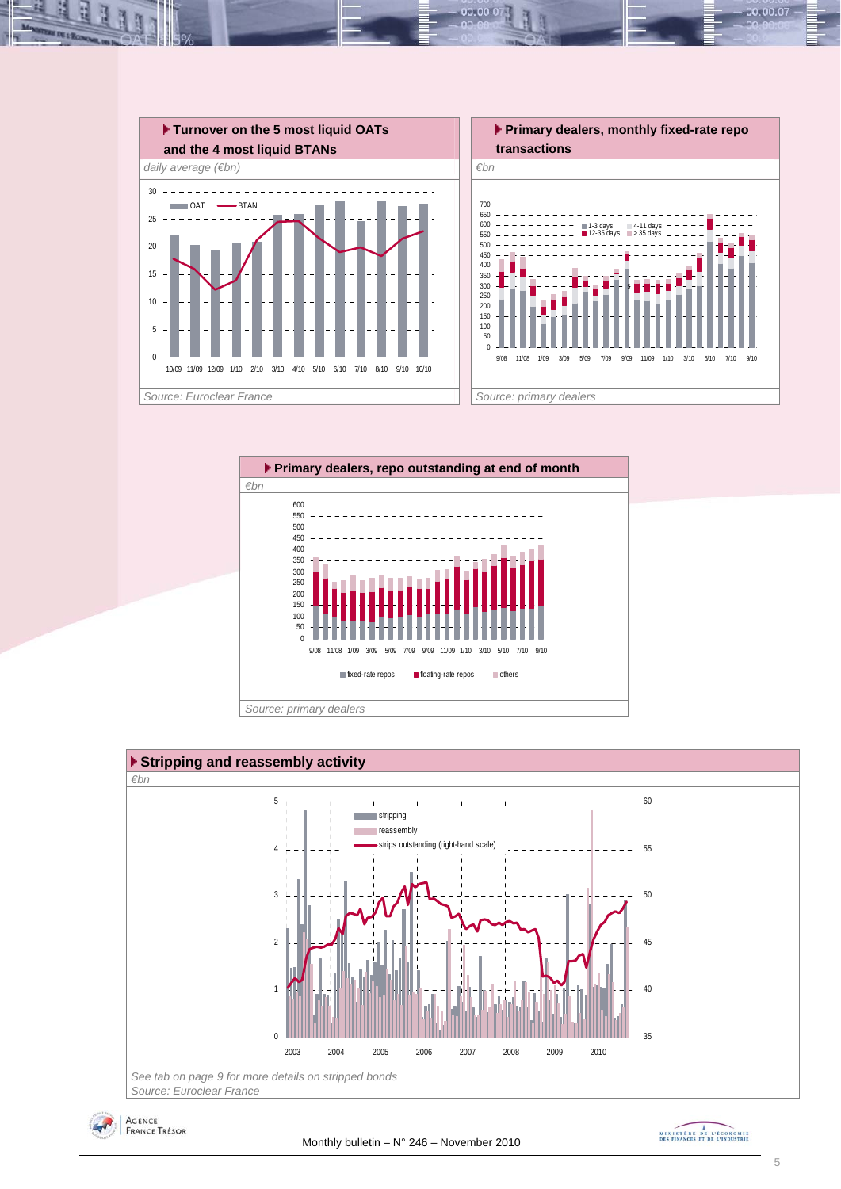

 $00.00.0$ 









00.00.07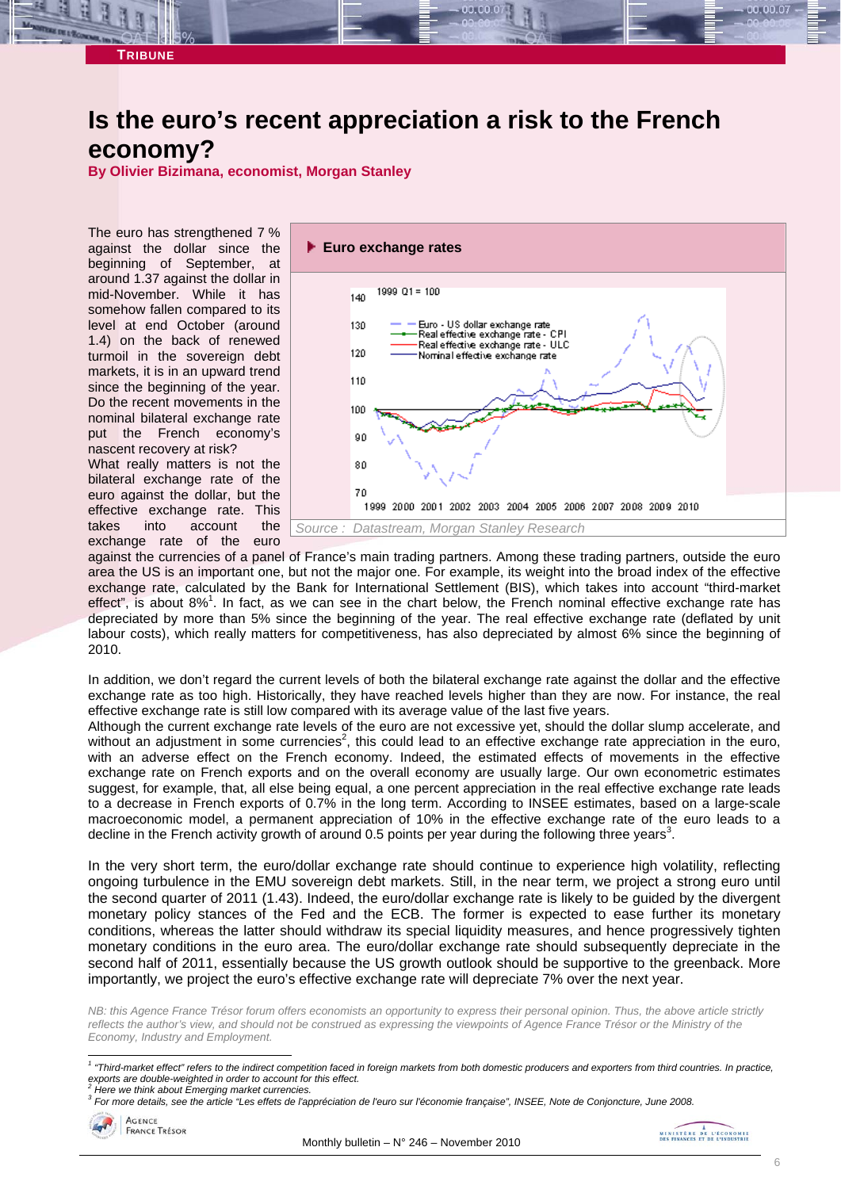## **Is the euro's recent appreciation a risk to the French economy?**

**By Olivier Bizimana, economist, Morgan Stanley** 

The euro has strengthened 7 % against the dollar since the beginning of September, at around 1.37 against the dollar in mid-November. While it has somehow fallen compared to its level at end October (around 1.4) on the back of renewed turmoil in the sovereign debt markets, it is in an upward trend since the beginning of the year. Do the recent movements in the nominal bilateral exchange rate put the French economy's nascent recovery at risk? What really matters is not the bilateral exchange rate of the euro against the dollar, but the effective exchange rate. This takes into account the exchange rate of the euro



against the currencies of a panel of France's main trading partners. Among these trading partners, outside the euro area the US is an important one, but not the major one. For example, its weight into the broad index of the effective exchange rate, calculated by the Bank for International Settlement (BIS), which takes into account "third-market effect", is about 8%<sup>1</sup>. In fact, as we can see in the chart below, the French nominal effective exchange rate has depreciated by more than 5% since the beginning of the year. The real effective exchange rate (deflated by unit labour costs), which really matters for competitiveness, has also depreciated by almost 6% since the beginning of 2010.

In addition, we don't regard the current levels of both the bilateral exchange rate against the dollar and the effective exchange rate as too high. Historically, they have reached levels higher than they are now. For instance, the real effective exchange rate is still low compared with its average value of the last five years.

Although the current exchange rate levels of the euro are not excessive yet, should the dollar slump accelerate, and without an adjustment in some currencies<sup>2</sup>, this could lead to an effective exchange rate appreciation in the euro, with an adverse effect on the French economy. Indeed, the estimated effects of movements in the effective exchange rate on French exports and on the overall economy are usually large. Our own econometric estimates suggest, for example, that, all else being equal, a one percent appreciation in the real effective exchange rate leads to a decrease in French exports of 0.7% in the long term. According to INSEE estimates, based on a large-scale macroeconomic model, a permanent appreciation of 10% in the effective exchange rate of the euro leads to a decline in the French activity growth of around 0.5 points per year during the following three years<sup>3</sup>.

In the very short term, the euro/dollar exchange rate should continue to experience high volatility, reflecting ongoing turbulence in the EMU sovereign debt markets. Still, in the near term, we project a strong euro until the second quarter of 2011 (1.43). Indeed, the euro/dollar exchange rate is likely to be guided by the divergent monetary policy stances of the Fed and the ECB. The former is expected to ease further its monetary conditions, whereas the latter should withdraw its special liquidity measures, and hence progressively tighten monetary conditions in the euro area. The euro/dollar exchange rate should subsequently depreciate in the second half of 2011, essentially because the US growth outlook should be supportive to the greenback. More importantly, we project the euro's effective exchange rate will depreciate 7% over the next year.

*NB: this Agence France Trésor forum offers economists an opportunity to express their personal opinion. Thus, the above article strictly reflects the author's view, and should not be construed as expressing the viewpoints of Agence France Trésor or the Ministry of the Economy, Industry and Employment.* 

*<sup>3</sup> For more details, see the article "Les effets de l'appréciation de l'euro sur l'économie française", INSEE, Note de Conjoncture, June 2008.* 



 *1 "Third-market effect" refers to the indirect competition faced in foreign markets from both domestic producers and exporters from third countries. In practice, exports are double-weighted in order to account for this effect.* 

*<sup>2</sup> Here we think about Emerging market currencies.*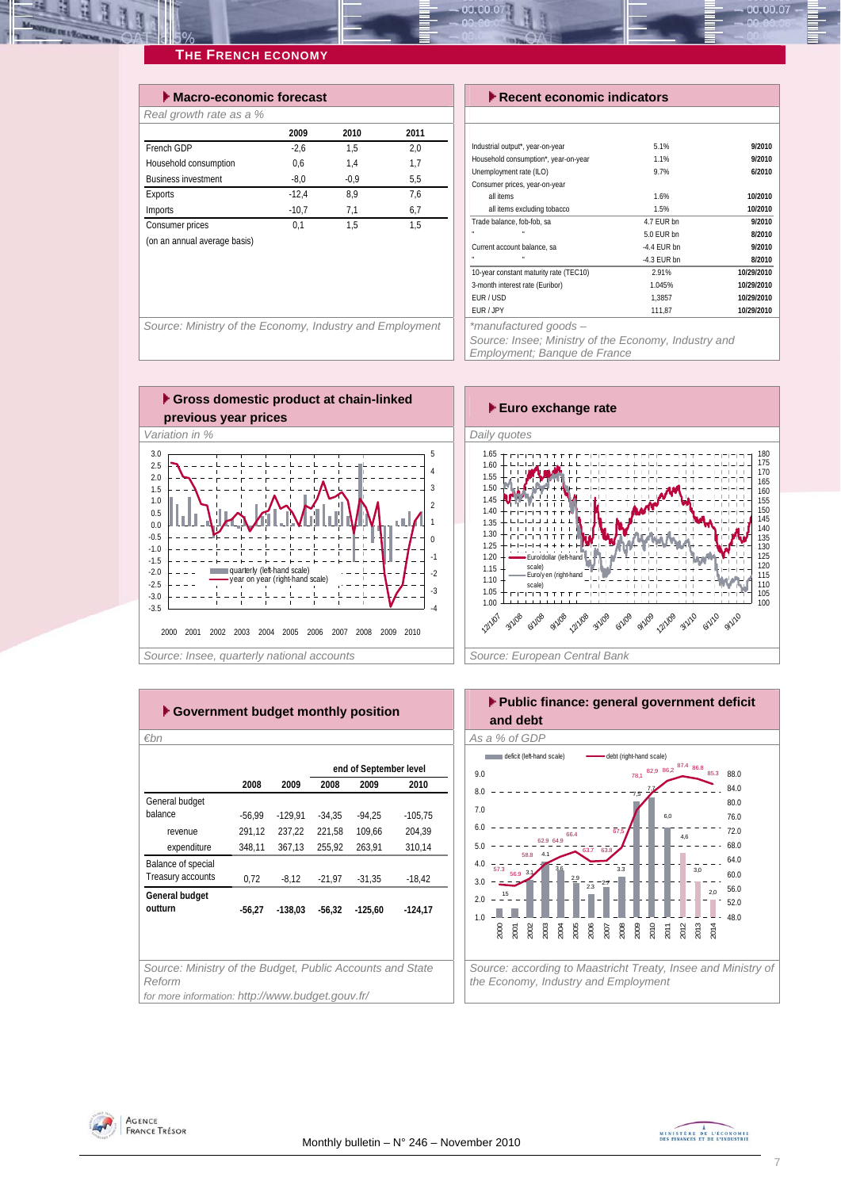| $\blacktriangleright$ Macro-economic forecast |         |        |      |
|-----------------------------------------------|---------|--------|------|
| Real growth rate as a %                       |         |        |      |
|                                               | 2009    | 2010   | 2011 |
| French GDP                                    | $-2.6$  | 1.5    | 2.0  |
| Household consumption                         | 0,6     | 1.4    | 1,7  |
| <b>Business investment</b>                    | $-8.0$  | $-0.9$ | 5.5  |
| <b>Exports</b>                                | $-12.4$ | 8.9    | 7,6  |
| Imports                                       | $-10.7$ | 7,1    | 6,7  |
| Consumer prices                               | 0.1     | 1.5    | 1.5  |
| (on an annual average basis)                  |         |        |      |
|                                               |         |        |      |

#### *Execent economic indicators*

| Industrial output*, year-on-year             | 5.1%          | 9/2010     |
|----------------------------------------------|---------------|------------|
| Household consumption*, year-on-year         | 1.1%          | 9/2010     |
| Unemployment rate (ILO)                      | 9.7%          | 6/2010     |
| Consumer prices, year-on-year                |               |            |
| all items                                    | 1.6%          | 10/2010    |
| all items excluding tobacco                  | 1.5%          | 10/2010    |
| Trade balance, fob-fob, sa                   | 4.7 FUR bn    | 9/2010     |
| m.                                           | 5.0 FUR bn    | 8/2010     |
| Current account balance, sa                  | $-4.4$ FUR bn | 9/2010     |
|                                              | -4.3 EUR bn   | 8/2010     |
| 10-year constant maturity rate (TEC10)       | 2.91%         | 10/29/2010 |
| 3-month interest rate (Euribor)              | 1.045%        | 10/29/2010 |
| FUR/USD                                      | 1.3857        | 10/29/2010 |
| EUR / JPY                                    | 111.87        | 10/29/2010 |
| the second set of the set of the set of some |               |            |

00.00.07

Source: Ministry of the Economy, Industry and Employment | | \*manufactured goods –

*Source: Insee; Ministry of the Economy, Industry and* 

*Employment; Banque de France* 





| ► Government budget monthly position                                |          |           |          |                        |           |  |  |  |  |  |  |  |
|---------------------------------------------------------------------|----------|-----------|----------|------------------------|-----------|--|--|--|--|--|--|--|
| €bn                                                                 |          |           |          |                        |           |  |  |  |  |  |  |  |
|                                                                     |          |           |          | end of September level |           |  |  |  |  |  |  |  |
|                                                                     | 2008     | 2009      | 2008     | 2009                   | 2010      |  |  |  |  |  |  |  |
| General budget                                                      |          |           |          |                        |           |  |  |  |  |  |  |  |
| balance                                                             | $-56,99$ | $-129,91$ | $-34,35$ | $-94.25$               | $-105,75$ |  |  |  |  |  |  |  |
| revenue                                                             | 291,12   | 237,22    | 221,58   | 109,66                 | 204,39    |  |  |  |  |  |  |  |
| expenditure                                                         | 348,11   | 367,13    | 255.92   | 263.91                 | 310,14    |  |  |  |  |  |  |  |
| Balance of special                                                  |          |           |          |                        |           |  |  |  |  |  |  |  |
| Treasury accounts                                                   | 0.72     | $-8.12$   | $-21.97$ | $-31.35$               | $-18,42$  |  |  |  |  |  |  |  |
| General budget                                                      |          |           |          |                        |           |  |  |  |  |  |  |  |
| outturn                                                             | $-56,27$ | $-138,03$ | $-56,32$ | $-125,60$              | $-124,17$ |  |  |  |  |  |  |  |
|                                                                     |          |           |          |                        |           |  |  |  |  |  |  |  |
|                                                                     |          |           |          |                        |           |  |  |  |  |  |  |  |
|                                                                     |          |           |          |                        |           |  |  |  |  |  |  |  |
| Source: Ministry of the Budget, Public Accounts and State<br>Reform |          |           |          |                        |           |  |  |  |  |  |  |  |
| for more information: http://www.budget.gouv.fr/                    |          |           |          |                        |           |  |  |  |  |  |  |  |





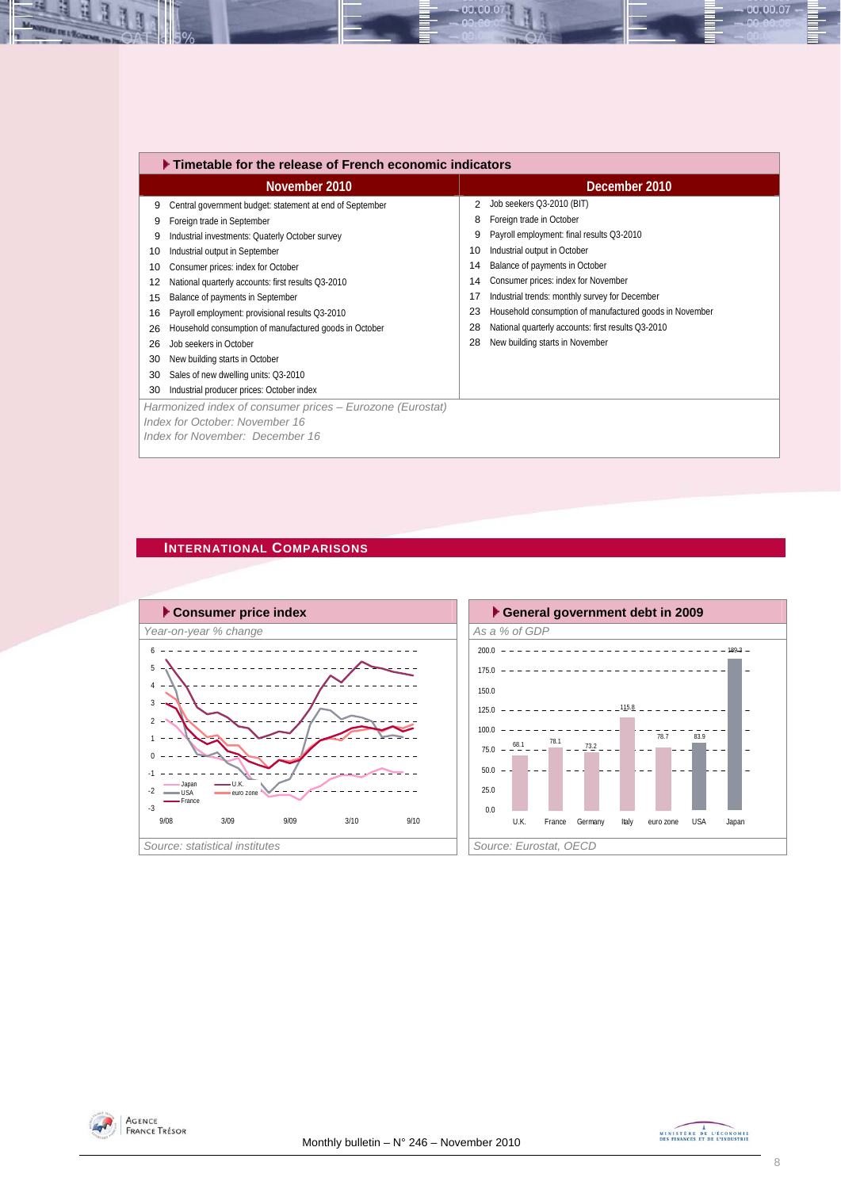|    | $\blacktriangleright$ Timetable for the release of French economic indicators |    |                                                         |  |  |  |  |  |  |  |
|----|-------------------------------------------------------------------------------|----|---------------------------------------------------------|--|--|--|--|--|--|--|
|    | November 2010                                                                 |    | December 2010                                           |  |  |  |  |  |  |  |
| 9  | Central government budget: statement at end of September                      | 2  | Job seekers Q3-2010 (BIT)                               |  |  |  |  |  |  |  |
| 9  | Foreign trade in September                                                    | 8  | Foreign trade in October                                |  |  |  |  |  |  |  |
| 9  | Industrial investments: Quaterly October survey                               | 9  | Payroll employment: final results Q3-2010               |  |  |  |  |  |  |  |
| 10 | Industrial output in September                                                | 10 | Industrial output in October                            |  |  |  |  |  |  |  |
| 10 | Consumer prices: index for October                                            | 14 | Balance of payments in October                          |  |  |  |  |  |  |  |
| 12 | National quarterly accounts: first results Q3-2010                            | 14 | Consumer prices: index for November                     |  |  |  |  |  |  |  |
| 15 | Balance of payments in September                                              | 17 | Industrial trends: monthly survey for December          |  |  |  |  |  |  |  |
| 16 | Payroll employment: provisional results Q3-2010                               | 23 | Household consumption of manufactured goods in November |  |  |  |  |  |  |  |
| 26 | Household consumption of manufactured goods in October                        | 28 | National quarterly accounts: first results Q3-2010      |  |  |  |  |  |  |  |
| 26 | Job seekers in October                                                        | 28 | New building starts in November                         |  |  |  |  |  |  |  |
| 30 | New building starts in October                                                |    |                                                         |  |  |  |  |  |  |  |
| 30 | Sales of new dwelling units: Q3-2010                                          |    |                                                         |  |  |  |  |  |  |  |
| 30 | Industrial producer prices: October index                                     |    |                                                         |  |  |  |  |  |  |  |
|    | Harmonized index of consumer prices - Eurozone (Eurostat)                     |    |                                                         |  |  |  |  |  |  |  |
|    | Index for October: November 16                                                |    |                                                         |  |  |  |  |  |  |  |
|    | Index for November: December 16                                               |    |                                                         |  |  |  |  |  |  |  |

00.00.0

#### **INTERNATIONAL COMPARISONS**







00.00.07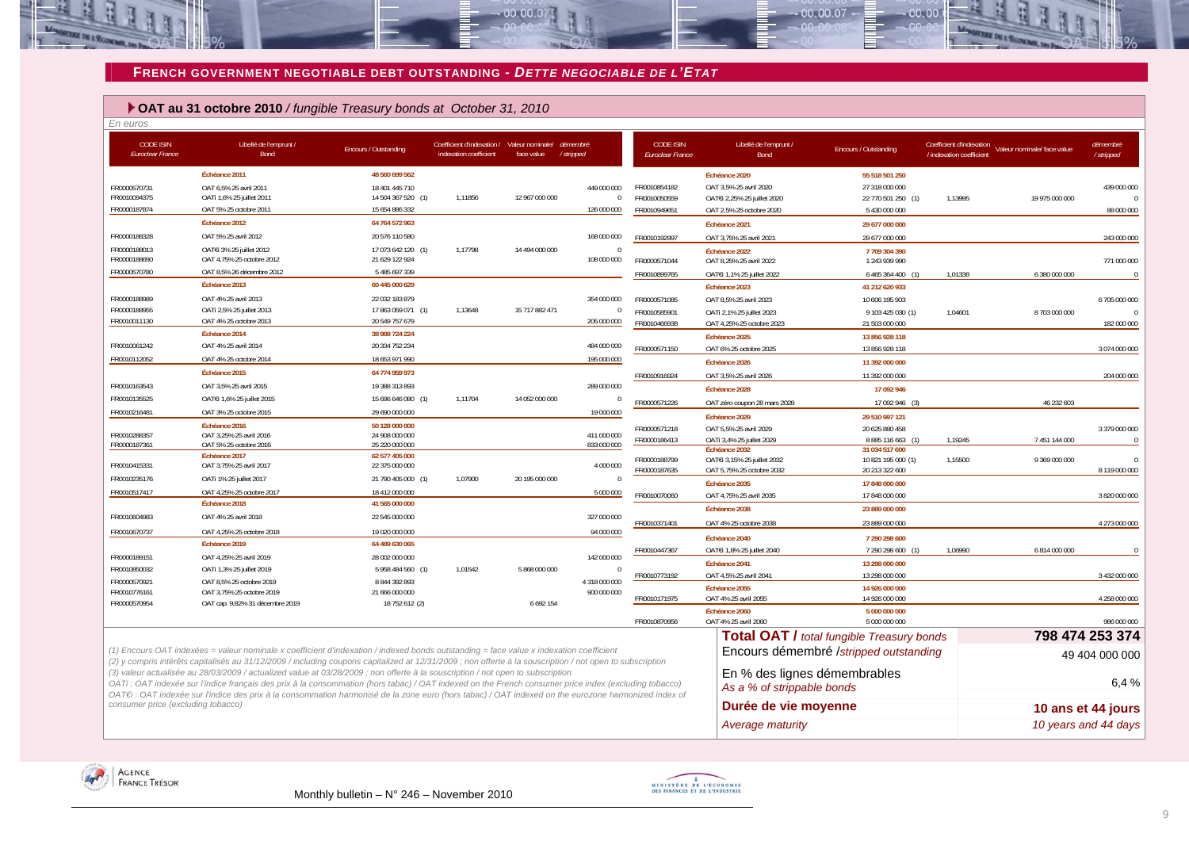#### **FRENCH GOVERNMENT NEGOTIABLE DEBT OUTSTANDING -** *DETTE NEGOCIABLE DE L'ETAT*

 $-00.00.07$ 

#### **OAT au 31 octobre 2010** */ fungible Treasury bonds at October 31, 2010*

| En euros                             |                                                                                                                                                                                                                                                                                                                                                                                                                                                 |                                      |                                                                                |                |                              |                                             |                                                            |                                                  |                                                      |                             |                             |
|--------------------------------------|-------------------------------------------------------------------------------------------------------------------------------------------------------------------------------------------------------------------------------------------------------------------------------------------------------------------------------------------------------------------------------------------------------------------------------------------------|--------------------------------------|--------------------------------------------------------------------------------|----------------|------------------------------|---------------------------------------------|------------------------------------------------------------|--------------------------------------------------|------------------------------------------------------|-----------------------------|-----------------------------|
| <b>CODE ISIN</b><br>Euroclear France | Libellé de l'emprunt /<br>Bond                                                                                                                                                                                                                                                                                                                                                                                                                  | Encours / Outstanding                | Coefficient d'indexation / Valeur nominale/ démembré<br>indexation coefficient | face value     | /stripped                    | <b>CODE ISIN</b><br><b>Euroclear France</b> | Libellé de l'emprunt /<br>Bond                             | Encours / Outstanding                            | Coefficient d'indexation<br>/ indexation coefficient | Valeur nominale/ face value | démembré<br>/ stripped      |
|                                      | Échéance 2011                                                                                                                                                                                                                                                                                                                                                                                                                                   | 48 560 699 562                       |                                                                                |                |                              |                                             | Échéance 2020                                              | 55 518 501 250                                   |                                                      |                             |                             |
| FR0000570731                         | OAT 6,5% 25 avril 2011                                                                                                                                                                                                                                                                                                                                                                                                                          | 18 401 445 710                       |                                                                                |                | 449 000 000                  | FR0010854182                                | OAT 3,5% 25 avril 2020                                     | 27 318 000 000                                   |                                                      |                             | 439 000 000                 |
| FR0010094375                         | OATi 1,6% 25 juillet 2011                                                                                                                                                                                                                                                                                                                                                                                                                       | 14 504 367 520 (1)                   | 1,11856                                                                        | 12 967 000 000 | $\Omega$                     | FR0010050559                                | OATEi 2,25% 25 juillet 2020                                | 22 770 501 250 (1)                               | 1,13995                                              | 19 975 000 000              | $\sqrt{ }$                  |
| FR0000187874                         | OAT 5% 25 octobre 2011                                                                                                                                                                                                                                                                                                                                                                                                                          | 15 654 886 332                       |                                                                                |                | 126 000 000                  | FR0010949651                                | OAT 2,5% 25 octobre 2020                                   | 5 430 000 000                                    |                                                      |                             | 88 000 000                  |
|                                      | Échéance 2012                                                                                                                                                                                                                                                                                                                                                                                                                                   | 64 764 572 963                       |                                                                                |                |                              |                                             | Échéance 2021                                              | 29 677 000 000                                   |                                                      |                             |                             |
| FR0000188328                         | OAT 5% 25 avril 2012                                                                                                                                                                                                                                                                                                                                                                                                                            | 20 576 110 580                       |                                                                                |                | 168 000 000                  | FR0010192997                                | OAT 3,75% 25 avril 2021                                    | 29 677 000 000                                   |                                                      |                             | 243 000 000                 |
| FR0000188013<br>FR0000188690         | OATEI 3% 25 juillet 2012<br>OAT 4,75% 25 octobre 2012                                                                                                                                                                                                                                                                                                                                                                                           | 17 073 642 120 (1)<br>21 629 122 924 | 1.17798                                                                        | 14 494 000 000 | $\Omega$<br>108 000 000      | FR0000571044                                | Échéance 2022<br>OAT 8,25% 25 avril 2022                   | 7709 304 390<br>1 243 939 990                    |                                                      |                             | 771 000 000                 |
| FR0000570780                         | OAT 8.5% 26 décembre 2012                                                                                                                                                                                                                                                                                                                                                                                                                       | 5 485 697 339                        |                                                                                |                |                              | FR0010899765                                | OATEi 1,1% 25 juillet 2022                                 | 6 465 364 400                                    | 1,01338                                              | 6 380 000 000               | $\sqrt{ }$                  |
|                                      | Échéance 2013                                                                                                                                                                                                                                                                                                                                                                                                                                   | 60 445 000 629                       |                                                                                |                |                              |                                             | Échéance 2023                                              | 41 212 620 933                                   |                                                      |                             |                             |
| FR0000188989                         | OAT 4% 25 avril 2013                                                                                                                                                                                                                                                                                                                                                                                                                            | 22 032 183 879                       |                                                                                |                | 354 000 000                  | FR0000571085                                | OAT 8,5% 25 avril 2023                                     | 10 606 195 903                                   |                                                      |                             | 6 705 000 000               |
| FR0000188955                         | OATi 2,5% 25 juillet 2013                                                                                                                                                                                                                                                                                                                                                                                                                       | 17 863 059 071 (1)                   | 1,13648                                                                        | 15 717 882 471 | $\mathbf{0}$                 | FR0010585901                                | OATi 2,1% 25 juillet 2023                                  | 9 103 425 030 (1)                                | 1,04601                                              | 8 703 000 000               | $\sqrt{ }$                  |
| FR0010011130                         | OAT 4% 25 octobre 2013                                                                                                                                                                                                                                                                                                                                                                                                                          | 20 549 757 679                       |                                                                                |                | 205 000 000                  | FR0010466938                                | OAT 4,25% 25 octobre 2023                                  | 21 503 000 000                                   |                                                      |                             | 182 000 000                 |
|                                      | Échéance 2014                                                                                                                                                                                                                                                                                                                                                                                                                                   | 38 988 724 224                       |                                                                                |                |                              |                                             | Échéance 2025                                              | 13 856 928 118                                   |                                                      |                             |                             |
| FR0010061242                         | OAT 4% 25 avril 2014                                                                                                                                                                                                                                                                                                                                                                                                                            | 20 334 752 234                       |                                                                                |                | 484 000 000                  | FR0000571150                                | OAT 6% 25 octobre 2025                                     | 13 856 928 118                                   |                                                      |                             | 3 074 000 000               |
| FR0010112052                         | OAT 4% 25 octobre 2014                                                                                                                                                                                                                                                                                                                                                                                                                          | 18 653 971 990                       |                                                                                |                | 195 000 000                  |                                             | Échéance 2026                                              | 11 392 000 000                                   |                                                      |                             |                             |
|                                      | Échéance 2015                                                                                                                                                                                                                                                                                                                                                                                                                                   | 64 774 959 973                       |                                                                                |                |                              | FR0010916924                                | OAT 3,5% 25 avril 2026                                     | 11 392 000 000                                   |                                                      |                             | 204 000 000                 |
| FR0010163543                         | OAT 3,5% 25 avril 2015                                                                                                                                                                                                                                                                                                                                                                                                                          | 19 388 313 893                       |                                                                                |                | 289 000 000                  |                                             | Échéance 2028                                              | 17 092 946                                       |                                                      |                             |                             |
| FR0010135525                         | OATEI 1,6% 25 juillet 2015                                                                                                                                                                                                                                                                                                                                                                                                                      | 15 696 646 080 (1)                   | 1.11704                                                                        | 14 052 000 000 |                              | FR0000571226                                | OAT zéro coupon 28 mars 2028                               | 17 092 946 (3)                                   |                                                      | 46 232 603                  |                             |
| FR0010216481                         | OAT 3% 25 octobre 2015                                                                                                                                                                                                                                                                                                                                                                                                                          | 29 690 000 000                       |                                                                                |                | 19 000 000                   |                                             |                                                            |                                                  |                                                      |                             |                             |
|                                      | Échéance 2016                                                                                                                                                                                                                                                                                                                                                                                                                                   | 50 128 000 000                       |                                                                                |                |                              |                                             | Échéance 2029                                              | 29 510 997 121                                   |                                                      |                             |                             |
| FR0010288357                         | OAT 3,25% 25 avril 2016                                                                                                                                                                                                                                                                                                                                                                                                                         | 24 908 000 000                       |                                                                                |                | 411 000 000                  | FR0000571218<br>FR0000186413                | OAT 5,5% 25 avril 2029<br>OATi 3.4% 25 juillet 2029        | 20 625 880 458<br>8 8 8 11 6 6 6 3 (1)           | 1.19245                                              | 7 451 144 000               | 3 379 000 000<br>$\sqrt{ }$ |
| FR0000187361                         | OAT 5% 25 octobre 2016                                                                                                                                                                                                                                                                                                                                                                                                                          | 25 220 000 000                       |                                                                                |                | 833 000 000                  |                                             | Échéance 2032                                              | 31 034 517 600                                   |                                                      |                             |                             |
| FR0010415331                         | Échéance 2017<br>OAT 3,75% 25 avril 2017                                                                                                                                                                                                                                                                                                                                                                                                        | 62 577 405 000<br>22 375 000 000     |                                                                                |                | 4 000 000                    | FR0000188799                                | OATEI 3,15% 25 juillet 2032                                | 10 821 195 000 (1)                               | 1,15500                                              | 9 369 000 000               | $\sqrt{ }$                  |
| FR0010235176                         |                                                                                                                                                                                                                                                                                                                                                                                                                                                 |                                      | 1,07900                                                                        | 20 195 000 000 | $\Omega$                     | FR0000187635                                | OAT 5,75% 25 octobre 2032                                  | 20 213 322 600                                   |                                                      |                             | 8 119 000 000               |
|                                      | OATi 1% 25 juillet 2017                                                                                                                                                                                                                                                                                                                                                                                                                         | 21 790 405 000 (1)                   |                                                                                |                |                              |                                             | Échéance 2035                                              | 17 848 000 000                                   |                                                      |                             |                             |
| FR0010517417                         | OAT 4,25% 25 octobre 2017<br>Échéance 2018                                                                                                                                                                                                                                                                                                                                                                                                      | 18 412 000 000<br>41 565 000 000     |                                                                                |                | 5 000 000                    | FR0010070060                                | OAT 4.75% 25 avril 2035                                    | 17 848 000 000                                   |                                                      |                             | 3 820 000 000               |
|                                      |                                                                                                                                                                                                                                                                                                                                                                                                                                                 |                                      |                                                                                |                |                              |                                             | Échéance 2038                                              | 23 889 000 000                                   |                                                      |                             |                             |
| FR0010604983                         | OAT 4% 25 avril 2018                                                                                                                                                                                                                                                                                                                                                                                                                            | 22 545 000 000                       |                                                                                |                | 327 000 000                  | FR0010371401                                | OAT 4% 25 octobre 2038                                     | 23 889 000 000                                   |                                                      |                             | 4 273 000 000               |
| FR0010670737                         | OAT 4.25% 25 octobre 2018                                                                                                                                                                                                                                                                                                                                                                                                                       | 19 020 000 000                       |                                                                                |                | 94 000 000                   |                                             | Échéance 2040                                              | 7 290 298 600                                    |                                                      |                             |                             |
|                                      | Échéance 2019                                                                                                                                                                                                                                                                                                                                                                                                                                   | 64 489 630 065                       |                                                                                |                |                              | FR0010447367                                | OATEi 1,8% 25 juillet 2040                                 | 7 290 298 600                                    | 1.06990                                              | 6814000000                  |                             |
| FR0000189151                         | OAT 4,25% 25 avril 2019                                                                                                                                                                                                                                                                                                                                                                                                                         | 28 002 000 000                       |                                                                                |                | 142 000 000                  |                                             | Échéance 2041                                              | 13 298 000 000                                   |                                                      |                             |                             |
| FR0010850032                         | OATi 1,3% 25 juillet 2019                                                                                                                                                                                                                                                                                                                                                                                                                       | 5 958 484 560 (1)                    | 1,01542                                                                        | 5 868 000 000  |                              | FR0010773192                                | OAT 4,5% 25 avril 2041                                     | 13 298 000 000                                   |                                                      |                             | 3 432 000 000               |
| FR0000570921<br>FR0010776161         | OAT 8,5% 25 octobre 2019<br>OAT 3,75% 25 octobre 2019                                                                                                                                                                                                                                                                                                                                                                                           | 8 844 392 893<br>21 666 000 000      |                                                                                |                | 4 318 000 000<br>900 000 000 |                                             | Échéance 2055                                              | 14 926 000 000                                   |                                                      |                             |                             |
| FR0000570954                         | OAT cap. 9,82% 31 décembre 2019                                                                                                                                                                                                                                                                                                                                                                                                                 | 18 752 612 (2)                       |                                                                                | 6 692 154      |                              | FR0010171975                                | OAT 4% 25 avril 2055                                       | 14 926 000 000                                   |                                                      |                             | 4 258 000 000               |
|                                      |                                                                                                                                                                                                                                                                                                                                                                                                                                                 |                                      |                                                                                |                |                              |                                             | Échéance 2060                                              | 5 000 000 000                                    |                                                      |                             |                             |
|                                      |                                                                                                                                                                                                                                                                                                                                                                                                                                                 |                                      |                                                                                |                |                              | FR0010870956                                | OAT 4% 25 avril 2060                                       | 5 000 000 000                                    |                                                      |                             | 986 000 000                 |
|                                      |                                                                                                                                                                                                                                                                                                                                                                                                                                                 |                                      |                                                                                |                |                              |                                             |                                                            | <b>Total OAT / total fungible Treasury bonds</b> |                                                      |                             | 798 474 253 374             |
|                                      | (1) Encours OAT indexées = valeur nominale x coefficient d'indexation / indexed bonds outstanding = face value x indexation coefficient<br>(2) y compris intérêts capitalisés au 31/12/2009 / including coupons capitalized at 12/31/2009; non offerte à la souscription / not open to subscription                                                                                                                                             |                                      |                                                                                |                |                              |                                             |                                                            | Encours démembré /stripped outstanding           |                                                      |                             | 49 404 000 000              |
|                                      | (3) valeur actualisée au 28/03/2009 / actualized value at 03/28/2009 ; non offerte à la souscription / not open to subscription<br>OATi: OAT indexée sur l'indice français des prix à la consommation (hors tabac) / OAT indexed on the French consumer price index (excluding tobacco)<br>OAT€i : OAT indexée sur l'indice des prix à la consommation harmonisé de la zone euro (hors tabac) / OAT indexed on the eurozone harmonized index of |                                      |                                                                                |                |                              |                                             | En % des lignes démembrables<br>As a % of strippable bonds |                                                  |                                                      |                             | 6.4%                        |
| consumer price (excluding tobacco)   |                                                                                                                                                                                                                                                                                                                                                                                                                                                 |                                      |                                                                                |                |                              |                                             | Durée de vie moyenne                                       |                                                  |                                                      |                             | 10 ans et 44 jours          |
|                                      |                                                                                                                                                                                                                                                                                                                                                                                                                                                 |                                      |                                                                                |                |                              |                                             | Average maturity                                           |                                                  |                                                      |                             | 10 years and 44 days        |



H

**EX IN 1 Town** 



 $-00,00,07$ 

 $00.00$